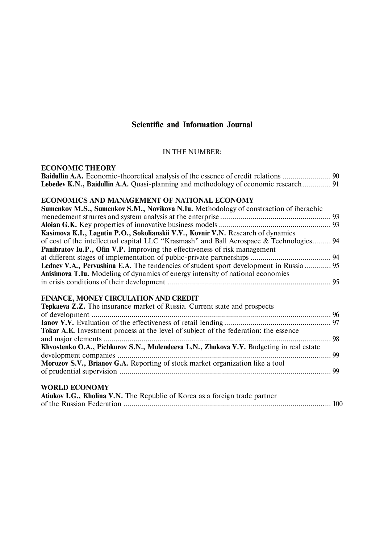# **Scientific and Information Journal**

## IN THE NUMBER:

## **ECONOMIC THEORY**

| Lebedev K.N., Baidullin A.A. Quasi-planning and methodology of economic research  91 |  |
|--------------------------------------------------------------------------------------|--|

## **ECONOMICS AND MANAGEMENT OF NATIONAL ECONOMY**

| Sumenkov M.S., Sumenkov S.M., Novikova N.Iu. Methodology of constraction of iherachic         |  |
|-----------------------------------------------------------------------------------------------|--|
|                                                                                               |  |
|                                                                                               |  |
| Kasimova K.I., Lagutin P.O., Sokolianskii V.V., Kovnir V.N. Research of dynamics              |  |
| of cost of the intellectual capital LLC "Krasmash" and Ball Aerospace & Technologies 94       |  |
| Panibratov Iu.P., Ofin V.P. Improving the effectiveness of risk management                    |  |
|                                                                                               |  |
| <b>Ledney V.A., Pervushina E.A.</b> The tendencies of student sport development in Russia  95 |  |
| <b>Anisimova T.Iu.</b> Modeling of dynamics of energy intensity of national economies         |  |
|                                                                                               |  |

## **FINANCE, MONEY CIRCULATION AND CREDIT**

# **WORLD ECONOMY**

| Atiukov I.G., Kholina V.N. The Republic of Korea as a foreign trade partner |  |
|-----------------------------------------------------------------------------|--|
|                                                                             |  |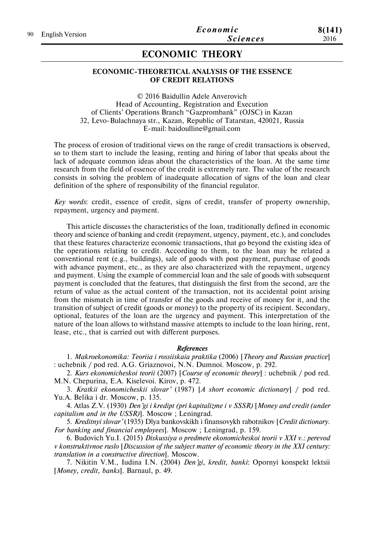# **ECONOMIC THEORY**

## **ECONOMIC-THEORETICAL ANALYSIS OF THE ESSENCE OF CREDIT RELATIONS**

© 2016 Baidullin Adele Anverovich Head of Accounting, Registration and Execution of Clients' Operations Branch "Gazprombank" (OJSC) in Kazan 32, Levo-Bulachnaya str., Kazan, Republic of Tatarstan, 420021, Russia E-mail: baidoulline@gmail.com

The process of erosion of traditional views on the range of credit transactions is observed, so to them start to include the leasing, renting and hiring of labor that speaks about the lack of adequate common ideas about the characteristics of the loan. At the same time research from the field of essence of the credit is extremely rare. The value of the research consists in solving the problem of inadequate allocation of signs of the loan and clear definition of the sphere of responsibility of the financial regulator.

*Key words*: credit, essence of credit, signs of credit, transfer of property ownership, repayment, urgency and payment.

This article discusses the characteristics of the loan, traditionally defined in economic theory and science of banking and credit (repayment, urgency, payment, etc.), and concludes that these features characterize economic transactions, that go beyond the existing idea of the operations relating to credit. According to them, to the loan may be related a conventional rent (e.g., buildings), sale of goods with post payment, purchase of goods with advance payment, etc., as they are also characterized with the repayment, urgency and payment. Using the example of commercial loan and the sale of goods with subsequent payment is concluded that the features, that distinguish the first from the second, are the return of value as the actual content of the transaction, not its accidental point arising from the mismatch in time of transfer of the goods and receive of money for it, and the transition of subject of credit (goods or money) to the property of its recipient. Secondary, optional, features of the loan are the urgency and payment. This interpretation of the nature of the loan allows to withstand massive attempts to include to the loan hiring, rent, lease, etc., that is carried out with different purposes.

#### *References*

1. *Makroekonomika: Teoriia i rossiiskaia praktika* (2006) [*Theory and Russian practice*] : uchebnik / pod red. A.G. Griaznovoi, N.N. Dumnoi. Moscow, p. 292.

2. *Kurs ekonomicheskoi teorii* (2007) [*Course of economic theory*] : uchebnik / pod red. M.N. Chepurina, E.A. Kiselevoi. Kirov, p. 472.

3. *Kratkii ekonomicheskii slovar'* (1987) [*A short economic dictionary*] / pod red. Yu.A. Belika i dr. Moscow, p. 135.

4. Atlas Z.V. (1930) *Den'gi i kredipt (pri kapitalizme i v SSSR)* [*Money and credit (under capitalism and in the USSR)*]. Moscow ; Leningrad.

5. *Kreditnyi slovar'* (1935) Dlya bankovskikh i finansovykh rabotnikov [*Credit dictionary. For banking and financial employees*]. Moscow ; Leningrad, p. 159.

6. Budovich Yu.I. (2015) *Diskussiya o predmete ekonomicheskoi teorii v XXI v.: perevod v konstruktivnoe ruslo* [*Discussion of the subject matter of economic theory in the XXI century: translation in a constructive direction*]. Moscow.

7. Nikitin V.M., Iudina I.N. (2004) *Den'gi, kredit, banki*: Opornyi konspekt lektsii [*Money, credit, banks*]. Barnaul, p. 49.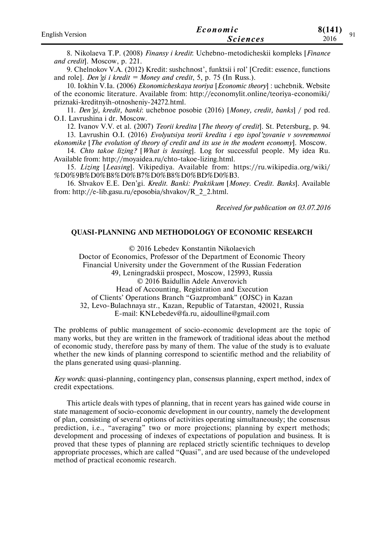| <b>English Version</b> | Economic        | 8(141)<br>Q <sub>1</sub> |
|------------------------|-----------------|--------------------------|
|                        | <i>Sciences</i> | 2016                     |

8. Nikolaeva T.P. (2008) *Finansy i kredit*: Uchebno-metodicheskii kompleks [*Finance and credit*]. Moscow, p. 221.

9. Chelnokov V.A. (2012) Kredit: sushchnost', funktsii i rol' [Credit: essence, functions and role]. *Den'gi i kredit = Money and credit*, 5, p. 75 (In Russ.).

10. Iokhin V.Ia. (2006) *Ekonomicheskaya teoriya* [*Economic theory*] : uchebnik. Website of the economic literature. Available from: http://economylit.online/teoriya-economiki/ priznaki-kreditnyih-otnosheniy-24272.html.

11. *Den'gi, kredit, banki*: uchebnoe posobie (2016) [*Money, credit, banks*] / pod red. O.I. Lavrushina i dr. Moscow.

12. Ivanov V.V. et al. (2007) *Teorii kredita* [*The theory of credit*]. St. Petersburg, p. 94.

13. Lavrushin O.I. (2016) *Evolyutsiya teorii kredita i ego ispol'zovanie v sovremennoi ekonomike* [*The evolution of theory of credit and its use in the modern economy*]. Moscow.

14. *Chto takoe lizing?* [*What is leasing*]. Log for successful people. My idea Ru. Available from: http://moyaidea.ru/chto-takoe-lizing.html.

15. *Lizing* [*Leasing*]. Vikipediya. Available from: https://ru.wikipedia.org/wiki/ %D0%9B%D0%B8%D0%B7%D0%B8%D0%BD%D0%B3.

16. Shvakov E.E. Den'gi. *Kredit. Banki: Praktikum* [*Money. Credit. Banks*]. Available from: http://e-lib.gasu.ru/eposobia/shvakov/R\_2\_2.html.

*Received for publication on 03.07.2016*

## **QUASI-PLANNING AND METHODOLOGY OF ECONOMIC RESEARCH**

© 2016 Lebedev Konstantin Nikolaevich

Doctor of Economics, Professor of the Department of Economic Theory

Financial University under the Government of the Russian Federation

49, Leningradskii prospect, Moscow, 125993, Russia

© 2016 Baidullin Adele Anverovich

Head of Accounting, Registration and Execution

of Clients' Operations Branch "Gazprombank" (OJSC) in Kazan

32, Levo-Bulachnaya str., Kazan, Republic of Tatarstan, 420021, Russia

E-mail: KNLebedev@fa.ru, aidoulline@gmail.com

The problems of public management of socio-economic development are the topic of many works, but they are written in the framework of traditional ideas about the method of economic study, therefore pass by many of them. The value of the study is to evaluate whether the new kinds of planning correspond to scientific method and the reliability of the plans generated using quasi-planning.

*Key word*s: quasi-planning, contingency plan, consensus planning, expert method, index of credit expectations.

This article deals with types of planning, that in recent years has gained wide course in state management of socio-economic development in our country, namely the development of plan, consisting of several options of activities operating simultaneously; the consensus prediction, i.e., "averaging" two or more projections; planning by expert methods; development and processing of indexes of expectations of population and business. It is proved that these types of planning are replaced strictly scientific techniques to develop appropriate processes, which are called "Quasi", and are used because of the undeveloped method of practical economic research.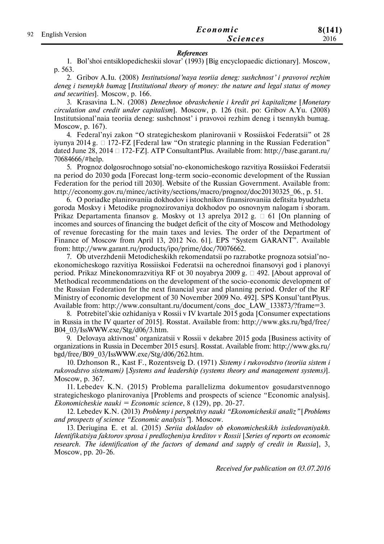| 92 |                 | Economic        | 8(141) |
|----|-----------------|-----------------|--------|
|    | English Version | <b>Sciences</b> | 2016   |

#### *References*

1. Bol'shoi entsiklopedicheskii slovar' (1993) [Big encyclopaedic dictionary]. Moscow, p. 563.

2. Gribov A.Iu. (2008) *Institutsional'naya teoriia deneg: sushchnost' i pravovoi rezhim deneg i tsennykh bumag* [*Institutional theory of money: the nature and legal status of money and securities*]. Moscow, p. 166.

3. Krasavina L.N. (2008) *Denezhnoe obrashchenie i kredit pri kapitalizme* [*Monetary circulation and credit under capitalism*]. Moscow, p. 126 (tsit. po: Gribov A.Yu. (2008) Institutsional'naia teoriia deneg: sushchnost' i pravovoi rezhim deneg i tsennykh bumag. Moscow, p. 167).

4. Federal'nyi zakon "O strategicheskom planirovanii v Rossiiskoi Federatsii" ot 28 iyunya 2014 g.  $\Box$  172-FZ [Federal law "On strategic planning in the Russian Federation" dated June 28, 2014  $\Box$  172-FZ]. ATP Consultant Plus. Available from: http://base.garant.ru/ 70684666/#help.

5. Prognoz dolgosrochnogo sotsial'no-ekonomicheskogo razvitiya Rossiiskoi Federatsii na period do 2030 goda [Forecast long-term socio-economic development of the Russian Federation for the period till 2030]. Website of the Russian Government. Available from: http://economy.gov.ru/minec/activity/sections/macro/prognoz/doc20130325 06., p. 51.

6. O poriadke planirovaniia dokhodov i istochnikov finansirovaniia defitsita byudzheta goroda Moskvy i Metodike prognozirovaniya dokhodov po osnovnym nalogam i sboram. Prikaz Departamenta finansov g. Moskvy ot 13 aprelya 2012 g.  $\Box$  61 [On planning of incomes and sources of financing the budget deficit of the city of Moscow and Methodology of revenue forecasting for the main taxes and levies. The order of the Department of Finance of Moscow from April 13, 2012 No. 61]. EPS "System GARANT". Available from: http://www.garant.ru/products/ipo/prime/doc/70076662.

7. Ob utverzhdenii Metodicheskikh rekomendatsii po razrabotke prognoza sotsial'noekonomicheskogo razvitiya Rossiiskoi Federatsii na ocherednoi finansovyi god i planovyi period. Prikaz Minekonomrazvitiya RF ot 30 noyabrya 2009 g.  $\Box$  492. [About approval of Methodical recommendations on the development of the socio-economic development of the Russian Federation for the next financial year and planning period. Order of the RF Ministry of economic development of 30 November 2009 No. 492]. SPS Konsul'tantPlyus. Available from: http://www.consultant.ru/document/cons\_doc\_LAW\_133873/?frame=3.

8. Potrebitel'skie ozhidaniya v Rossii v IV kvartale 2015 goda [Consumer expectations in Russia in the IV quarter of 2015]. Rosstat. Available from: http://www.gks.ru/bgd/free/ B04\_03/IssWWW.exe/Stg/d06/3.htm.

9. Delovaya aktivnost' organizatsii v Rossii v dekabre 2015 goda [Business activity of organizations in Russia in December 2015 esurs]. Rosstat. Available from: http://www.gks.ru/ bgd/free/B09\_03/IssWWW.exe/Stg/d06/262.htm.

10. Dzhonson R., Kast F., Rozentsveig D. (1971) *Sistemy i rukovodstvo (teoriia sistem i rukovodstvo sistemami)* [*Systems and leadership (systems theory and management systems)*]. Moscow, p. 367.

11. Lebedev K.N. (2015) Problema parallelizma dokumentov gosudarstvennogo strategicheskogo planirovaniya [Problems and prospects of science "Economic analysis]. *Ekonomicheskie nauki = Economic science*, 8 (129), рр. 20-27.

12. Lebedev K.N. (2013) *Problemy i perspektivy nauki "Ekonomicheskii analiz"* [*Problems and prospects of science "Economic analysis"*]. Moscow.

13. Deriugina E. et al. (2015) *Seriia dokladov ob ekonomicheskikh issledovaniyakh. Identifikatsiya faktorov sprosa i predlozheniya kreditov v Rossii* [*Series of reports on economic research. The identification of the factors of demand and supply of credit in Russia*], 3, Moscow, pp. 20-26.

*Received for publication on 03.07.2016*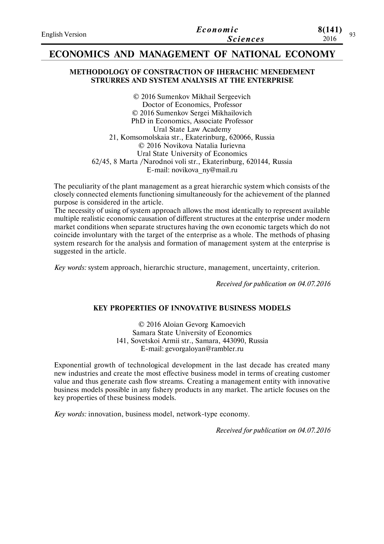| <b>English Version</b> | Economic        | 8(141)<br>0 <sub>2</sub> |
|------------------------|-----------------|--------------------------|
|                        | <b>Sciences</b> | 2016                     |

## **ECONOMICS AND MANAGEMENT OF NATIONAL ECONOMY**

## **METHODOLOGY OF CONSTRACTION OF IHERACHIC MENEDEMENT STRURRES AND SYSTEM ANALYSIS AT THE ENTERPRISE**

© 2016 Sumenkov Mikhail Sergeevich Doctor of Economics, Professor © 2016 Sumenkov Sergei Mikhailovich PhD in Economics, Associate Professor Ural State Law Academy 21, Komsomolskaia str., Ekaterinburg, 620066, Russia © 2016 Novikova Natalia Iurievna Ural State University of Economics 62/45, 8 Marta /Narodnoi voli str., Ekaterinburg, 620144, Russia E-mail: novikova\_ny@mail.ru

The peculiarity of the plant management as a great hierarchic system which consists of the closely connected elements functioning simultaneously for the achievement of the planned purpose is considered in the article.

The necessity of using of system approach allows the most identically to represent available multiple realistic economic causation of different structures at the enterprise under modern market conditions when separate structures having the own economic targets which do not coincide involuntary with the target of the enterprise as a whole. The methods of phasing system research for the analysis and formation of management system at the enterprise is suggested in the article.

*Key words:* system approach, hierarchic structure, management, uncertainty, criterion.

*Received for publication on 04.07.2016*

## **KEY PROPERTIES OF INNOVATIVE BUSINESS MODELS**

© 2016 Aloian Gevorg Kamoevich Samara State University of Economics 141, Sovetskoi Armii str., Samara, 443090, Russia E-mail: gevorgaloyan@rambler.ru

Exponential growth of technological development in the last decade has created many new industries and create the most effective business model in terms of creating customer value and thus generate cash flow streams. Creating a management entity with innovative business models possible in any fishery products in any market. The article focuses on the key properties of these business models.

*Key words:* innovation, business model, network-type economy.

*Received for publication on 04.07.2016*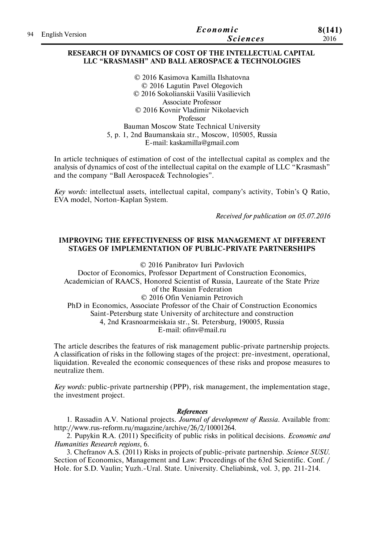|                    | Economic        | 8(141) |
|--------------------|-----------------|--------|
| 94 English Version | <b>Sciences</b> | 2016   |

## **RESEARCH OF DYNAMICS OF COST OF THE INTELLECTUAL CAPITAL LLC "KRASMASH" AND BALL AEROSPACE & TECHNOLOGIES**

© 2016 Kasimova Kamilla Ilshatovna © 2016 Lagutin Pavel Olegovich © 2016 Sokolianskii Vasilii Vasilievich Associate Professor © 2016 Kovnir Vladimir Nikolaevich Professor Bauman Moscow State Technical University 5, p. 1, 2nd Baumanskaia str., Moscow, 105005, Russia E-mail: kaskamilla@gmail.com

In article techniques of estimation of cost of the intellectual capital as complex and the analysis of dynamics of cost of the intellectual capital on the example of LLC "Krasmash" and the company "Ball Aerospace& Technologies".

*Key words:* intellectual assets, intellectual capital, company's activity, Tobin's Q Ratio, EVA model, Norton-Kaplan System.

*Received for publication on 05.07.2016*

## **IMPROVING THE EFFECTIVENESS OF RISK MANAGEMENT AT DIFFERENT STAGES OF IMPLEMENTATION OF PUBLIC-PRIVATE PARTNERSHIPS**

© 2016 Panibratov Iuri Pavlovich

Doctor of Economics, Professor Department of Construction Economics, Academician of RAACS, Honored Scientist of Russia, Laureate of the State Prize of the Russian Federation © 2016 Ofin Veniamin Petrovich PhD in Economics, Associate Professor of the Chair of Construction Economics Saint-Petersburg state University of architecture and construction 4, 2nd Krasnoarmeiskaia str., St. Petersburg, 190005, Russia

E-mail: ofinv@mail.ru

The article describes the features of risk management public-private partnership projects. A classification of risks in the following stages of the project: pre-investment, operational, liquidation. Revealed the economic consequences of these risks and propose measures to neutralize them.

*Key words:* public-private partnership (PPP), risk management, the implementation stage, the investment project.

## *References*

1. Rassadin A.V. National projects. *Journal of development of Russia*. Available from: http://www.rus-reform.ru/magazine/archive/26/2/10001264.

2. Pupykin R.A. (2011) Specificity of public risks in political decisions. *Economic and Humanities Research regions*, 6.

3. Chefranov A.S. (2011) Risks in projects of public-private partnership. *Science SUSU*. Section of Economics, Management and Law: Proceedings of the 63rd Scientific. Conf. / Hole. for S.D. Vaulin; Yuzh.-Ural. State. University. Cheliabinsk, vol. 3, рр. 211-214.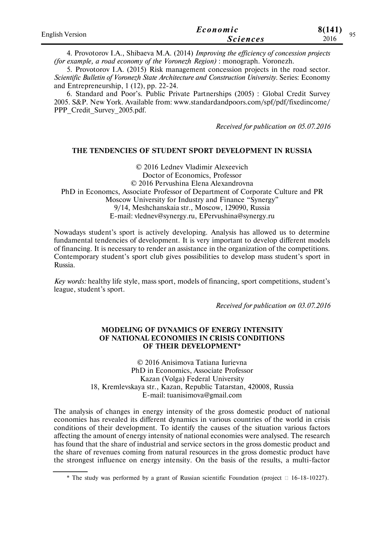| <b>English Version</b> | Economic        | 8(141)<br>05 |
|------------------------|-----------------|--------------|
|                        | <i>Sciences</i> | 2016         |

4. Provotorov I.A., Shibaeva M.A. (2014) *Improving the efficiency of concession projects (for example, a road economy of the Voronezh Region)* : monograph. Voronezh.

5. Provotorov I.A. (2015) Risk management concession projects in the road sector. *Scientific Bulletin of Voronezh State Architecture and Construction University*. Series: Economy and Entrepreneurship, 1 (12), рр. 22-24.

6. Standard and Poor's. Public Private Partnerships (2005) : Global Credit Survey 2005. S&P. New York. Available from: www.standardandpoors.com/spf/pdf/fixedincome/ PPP\_Credit\_Survey\_2005.pdf.

*Received for publication on 05.07.2016*

#### **THE TENDENCIES OF STUDENT SPORT DEVELOPMENT IN RUSSIA**

© 2016 Lednev Vladimir Alexeevich Doctor of Economics, Professor © 2016 Pervushina Elena Alexandrovna PhD in Economcs, Associate Professor of Department of Corporate Culture and PR Moscow University for Industry and Finance "Synergy" 9/14, Meshchanskaia str., Moscow, 129090, Russia E-mail: vlednev@synergy.ru, EPervushina@synergy.ru

Nowadays student's sport is actively developing. Analysis has allowed us to determine fundamental tendencies of development. It is very important to develop different models of financing. It is necessary to render an assistance in the organization of the competitions. Contemporary student's sport club gives possibilities to develop mass student's sport in Russia.

*Key words:* healthy life style, mass sport, models of financing, sport competitions, student's league, student's sport.

*Received for publication on 03.07.2016*

## **MODELING OF DYNAMICS OF ENERGY INTENSITY OF NATIONAL ECONOMIES IN CRISIS CONDITIONS OF THEIR DEVELOPMENT\***

© 2016 Anisimova Tatiana Iurievna PhD in Economics, Associate Professor Kazan (Volga) Federal University 18, Kremlevskaya str., Kazan, Republic Tatarstan, 420008, Russia E-mail: tuanisimova@gmail.com

The analysis of changes in energy intensity of the gross domestic product of national economies has revealed its different dynamics in various countries of the world in crisis conditions of their development. To identify the causes of the situation various factors affecting the amount of energy intensity of national economies were analysed. The research has found that the share of industrial and service sectors in the gross domestic product and the share of revenues coming from natural resources in the gross domestic product have the strongest influence on energy intensity. On the basis of the results, a multi-factor

<sup>\*</sup> The study was performed by a grant of Russian scientific Foundation (project  $\Box$  16-18-10227).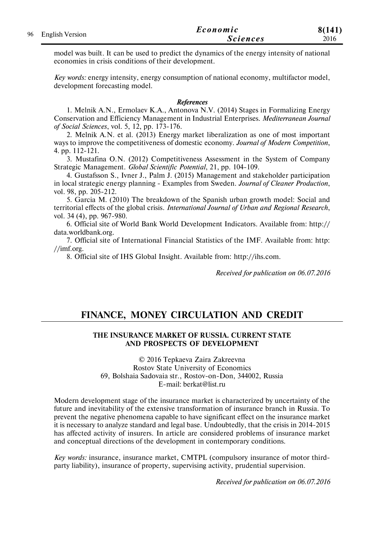|    |                        | Economic        | 8(141) |
|----|------------------------|-----------------|--------|
| 96 | <b>English Version</b> | <i>Sciences</i> | 2016   |

model was built. It can be used to predict the dynamics of the energy intensity of national economies in crisis conditions of their development.

*Key words:* energy intensity, energy consumption of national economy, multifactor model, development forecasting model.

#### *References*

1. Melnik A.N., Ermolaev K.A., Antonova N.V. (2014) Stages in Formalizing Energy Conservation and Efficiency Management in Industrial Enterprises. *Mediterranean Journal of Social Sciences*, vol. 5, 12, pp. 173-176.

2. Melnik A.N. et al. (2013) Energy market liberalization as one of most important ways to improve the competitiveness of domestic economy. *Journal of Modern Competition*, 4. рр. 112-121.

3. Mustafina O.N. (2012) Competitiveness Assessment in the System of Company Strategic Management. *Global Scientific Potential*, 21, рр. 104-109.

4. Gustafsson S., Ivner J., Palm J. (2015) Management and stakeholder participation in local strategic energy planning - Examples from Sweden. *Journal of Cleaner Production*, vol. 98, pp. 205-212.

5. Garcia M. (2010) The breakdown of the Spanish urban growth model: Social and territorial effects of the global crisis. *International Journal of Urban and Regional Research*, vol. 34 (4), pp. 967-980.

6. Official site of World Bank World Development Indicators. Available from: http:// data.worldbank.org.

7. Official site of International Financial Statistics of the IMF. Available from: http: //imf.org.

8. Official site of IHS Global Insight. Available from: http://ihs.com.

*Received for publication on 06.07.2016*

# **FINANCE, MONEY CIRCULATION AND CREDIT**

### **THE INSURANCE MARKET OF RUSSIA. CURRENT STATE AND PROSPECTS OF DEVELOPMENT**

© 2016 Tepkaeva Zaira Zakreevna Rostov State University of Economics 69, Bolshaia Sadovaia str., Rostov-on-Don, 344002, Russia E-mail: berkat@list.ru

Modern development stage of the insurance market is characterized by uncertainty of the future and inevitability of the extensive transformation of insurance branch in Russia. To prevent the negative phenomena capable to have significant effect on the insurance market it is necessary to analyze standard and legal base. Undoubtedly, that the crisis in 2014-2015 has affected activity of insurers. In article are considered problems of insurance market and conceptual directions of the development in contemporary conditions.

*Key words:* insurance, insurance market, CMTPL (compulsory insurance of motor thirdparty liability), insurance of property, supervising activity, prudential supervision.

*Received for publication on 06.07.2016*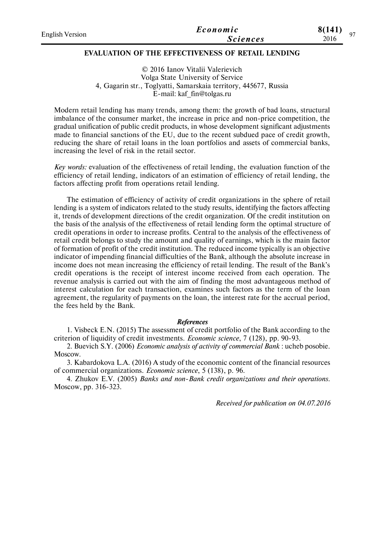| English Version | Economic        | 8(141) | 07 |
|-----------------|-----------------|--------|----|
|                 | <i>Sciences</i> | 2016   |    |
|                 |                 |        |    |

## **EVALUATION OF THE EFFECTIVENESS OF RETAIL LENDING**

© 2016 Ianov Vitalii Valerievich Volga State University of Service 4, Gagarin str., Toglyatti, Samarskaia territory, 445677, Russia E-mail: kaf\_fin@tolgas.ru

Modern retail lending has many trends, among them: the growth of bad loans, structural imbalance of the consumer market, the increase in price and non-price competition, the gradual unification of public credit products, in whose development significant adjustments made to financial sanctions of the EU, due to the recent subdued pace of credit growth, reducing the share of retail loans in the loan portfolios and assets of commercial banks, increasing the level of risk in the retail sector.

*Key words:* evaluation of the effectiveness of retail lending, the evaluation function of the efficiency of retail lending, indicators of an estimation of efficiency of retail lending, the factors affecting profit from operations retail lending.

The estimation of efficiency of activity of credit organizations in the sphere of retail lending is a system of indicators related to the study results, identifying the factors affecting it, trends of development directions of the credit organization. Of the credit institution on the basis of the analysis of the effectiveness of retail lending form the optimal structure of credit operations in order to increase profits. Central to the analysis of the effectiveness of retail credit belongs to study the amount and quality of earnings, which is the main factor of formation of profit of the credit institution. The reduced income typically is an objective indicator of impending financial difficulties of the Bank, although the absolute increase in income does not mean increasing the efficiency of retail lending. The result of the Bank's credit operations is the receipt of interest income received from each operation. The revenue analysis is carried out with the aim of finding the most advantageous method of interest calculation for each transaction, examines such factors as the term of the loan agreement, the regularity of payments on the loan, the interest rate for the accrual period, the fees held by the Bank.

### *References*

1. Visbeck E.N. (2015) The assessment of credit portfolio of the Bank according to the criterion of liquidity of credit investments. *Economic science*, 7 (128), рр. 90-93.

2. Buevich S.Y. (2006) *Economic analysis of activity of commercial Bank* : ucheb posobie. Moscow.

3. Kabardokova L.A. (2016) A study of the economic content of the financial resources of commercial organizations. *Economic science*, 5 (138), р. 96.

4. Zhukov E.V. (2005) *Banks and non-Bank credit organizations and their operations*. Moscow, рр. 316-323.

*Received for publication on 04.07.2016*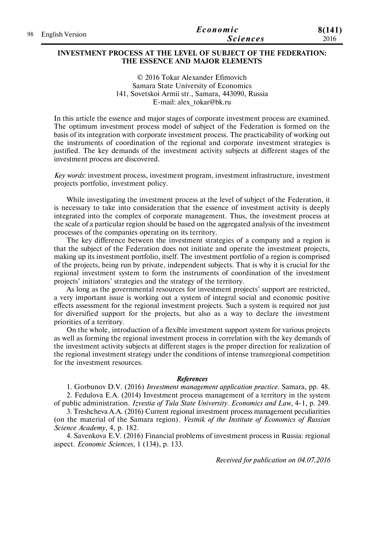| 98 English Version | Economic        | 8(141) |
|--------------------|-----------------|--------|
|                    | <b>Sciences</b> | 2016   |

### **INVESTMENT PROCESS AT THE LEVEL OF SUBJECT OF THE FEDERATION: THE ESSENCE AND MAJOR ELEMENTS**

© 2016 Tokar Alexander Efimovich Samara State University of Economics 141, Sovetskoi Armii str., Samara, 443090, Russia E-mail: alex\_tokar@bk.ru

In this article the essence and major stages of corporate investment process are examined. The optimum investment process model of subject of the Federation is formed on the basis of its integration with corporate investment process. The practicability of working out the instruments of coordination of the regional and corporate investment strategies is justified. The key demands of the investment activity subjects at different stages of the investment process are discovered.

*Key words*: investment process, investment program, investment infrastructure, investment projects portfolio, investment policy.

While investigating the investment process at the level of subject of the Federation, it is necessary to take into consideration that the essence of investment activity is deeply integrated into the complex of corporate management. Thus, the investment process at the scale of a particular region should be based on the aggregated analysis of the investment processes of the companies operating on its territory.

The key difference between the investment strategies of a company and a region is that the subject of the Federation does not initiate and operate the investment projects, making up its investment portfolio, itself. The investment portfolio of a region is comprised of the projects, being run by private, independent subjects. That is why it is crucial for the regional investment system to form the instruments of coordination of the investment projects' initiators' strategies and the strategy of the territory.

As long as the governmental resources for investment projects' support are restricted, a very important issue is working out a system of integral social and economic positive effects assessment for the regional investment projects. Such a system is required not just for diversified support for the projects, but also as a way to declare the investment priorities of a territory.

On the whole, introduction of a flexible investment support system for various projects as well as forming the regional investment process in correlation with the key demands of the investment activity subjects at different stages is the proper direction for realization of the regional investment strategy under the conditions of intense transregional competition for the investment resources.

#### *References*

1. Gorbunov D.V. (2016) *Investment management application practice*. Samara, pp. 48. 2. Fedulova E.A. (2014) Investment process management of a territory in the system of public administration. *Izvestia of Tula State University. Economics and Law*, 4-1, p. 249.

3. Treshcheva A.A. (2016) Current regional investment process management peculiarities (on the material of the Samara region). *Vestnik of the Institute of Economics of Russian Science Academy*, 4, p. 182.

4. Savenkova E.V. (2016) Financial problems of investment process in Russia: regional aspect. *Economic Sciences*, 1 (134), p. 133.

*Received for publication on 04.07.2016*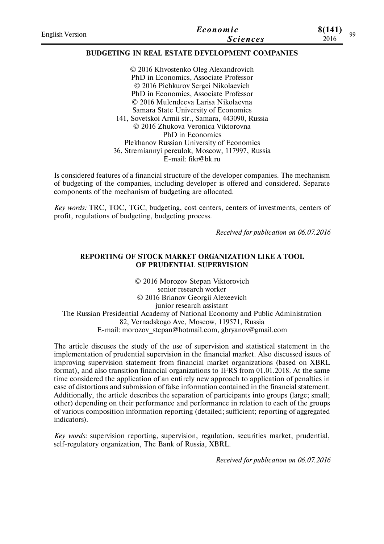| <b>English Version</b> | Economic        | 8(141) | QQ |
|------------------------|-----------------|--------|----|
|                        | <b>Sciences</b> | 2016   |    |
|                        |                 |        |    |

## **BUDGETING IN REAL ESTATE DEVELOPMENT COMPANIES**

© 2016 Khvostenko Oleg Alexandrovich PhD in Economics, Associate Professor © 2016 Pichkurov Sergei Nikolaevich PhD in Economics, Associate Professor © 2016 Mulendeeva Larisa Nikolaevna Samara State University of Economics 141, Sovetskoi Armii str., Samara, 443090, Russia © 2016 Zhukova Veronica Viktorovna PhD in Economics Plekhanov Russian University of Economics 36, Stremiannyi pereulok, Moscow, 117997, Russia E-mail: fikr@bk.ru

Is considered features of a financial structure of the developer companies. The mechanism of budgeting of the companies, including developer is offered and considered. Separate components of the mechanism of budgeting are allocated.

*Key words:* TRC, ТOC, TGC, budgeting, cost centers, centers of investments, centers of profit, regulations of budgeting, budgeting process.

*Received for publication on 06.07.2016*

## **REPORTING OF STOCK MARKET ORGANIZATION LIKE A TOOL OF PRUDENTIAL SUPERVISION**

© 2016 Morozov Stepan Viktorovich senior research worker © 2016 Brianov Georgii Alexeevich junior research assistant The Russian Presidential Academy of National Economy and Public Administration 82, Vernadskogo Ave, Moscow, 119571, Russia E-mail: morozov\_stepan@hotmail.com, gbryanov@gmail.com

The article discuses the study of the use of supervision and statistical statement in the implementation of prudential supervision in the financial market. Also discussed issues of improving supervision statement from financial market organizations (based on XBRL format), and also transition financial organizations to IFRS from 01.01.2018. At the same time considered the application of an entirely new approach to application of penalties in case of distortions and submission of false information contained in the financial statement. Additionally, the article describes the separation of participants into groups (large; small; other) depending on their performance and performance in relation to each of the groups of various composition information reporting (detailed; sufficient; reporting of aggregated indicators).

*Key words:* supervision reporting, supervision, regulation, securities market, prudential, self-regulatory organization, The Bank of Russia, XBRL.

*Received for publication on 06.07.2016*